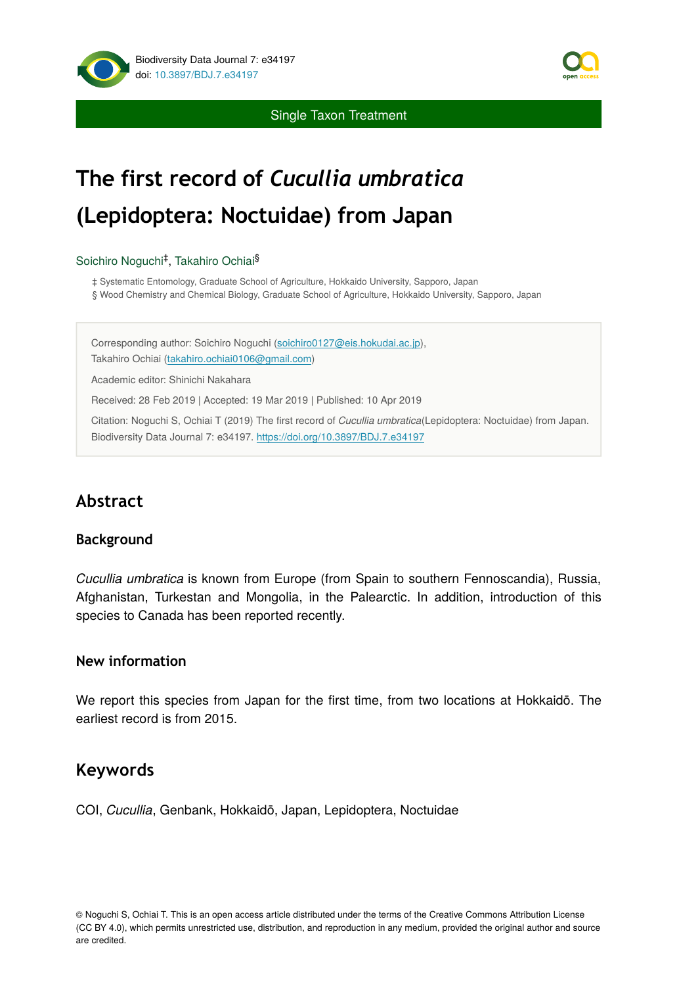

Single Taxon Treatment

# **The first record of** *Cucullia umbratica* **(Lepidoptera: Noctuidae) from Japan**

#### Soichiro Noguchi<sup>‡</sup>, Takahiro Ochiai<sup>§</sup>

‡ Systematic Entomology, Graduate School of Agriculture, Hokkaido University, Sapporo, Japan

§ Wood Chemistry and Chemical Biology, Graduate School of Agriculture, Hokkaido University, Sapporo, Japan

Corresponding author: Soichiro Noguchi [\(soichiro0127@eis.hokudai.ac.jp](mailto:soichiro0127@eis.hokudai.ac.jp)), Takahiro Ochiai [\(takahiro.ochiai0106@gmail.com](mailto:takahiro.ochiai0106@gmail.com)) Academic editor: Shinichi Nakahara

Received: 28 Feb 2019 | Accepted: 19 Mar 2019 | Published: 10 Apr 2019

Citation: Noguchi S, Ochiai T (2019) The first record of *Cucullia umbratica*(Lepidoptera: Noctuidae) from Japan. Biodiversity Data Journal 7: e34197.<https://doi.org/10.3897/BDJ.7.e34197>

# **Abstract**

#### **Background**

*Cucullia umbratica* is known from Europe (from Spain to southern Fennoscandia), Russia, Afghanistan, Turkestan and Mongolia, in the Palearctic. In addition, introduction of this species to Canada has been reported recently.

#### **New information**

We report this species from Japan for the first time, from two locations at Hokkaidō. The earliest record is from 2015.

## **Keywords**

COI, *Cucullia*, Genbank, Hokkaidō, Japan, Lepidoptera, Noctuidae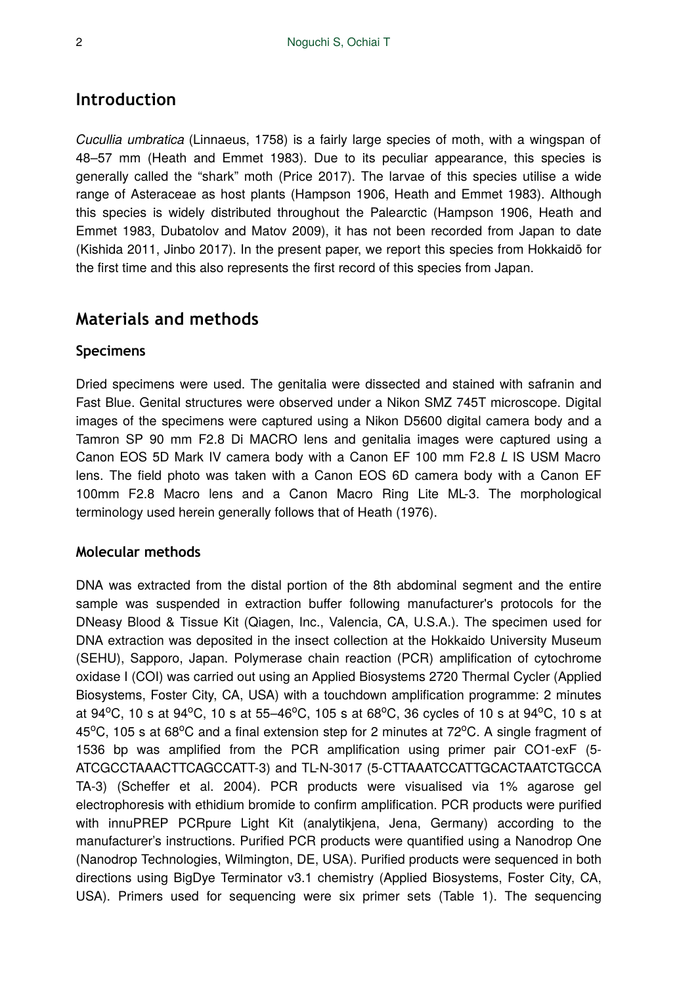# **Introduction**

*Cucullia umbratica* (Linnaeus, 1758) is a fairly large species of moth, with a wingspan of 48–57 mm (Heath and Emmet 1983). Due to its peculiar appearance, this species is generally called the "shark" moth (Price 2017). The larvae of this species utilise a wide range of Asteraceae as host plants (Hampson 1906, Heath and Emmet 1983). Although this species is widely distributed throughout the Palearctic (Hampson 1906, Heath and Emmet 1983, Dubatolov and Matov 2009), it has not been recorded from Japan to date (Kishida 2011, Jinbo 2017). In the present paper, we report this species from Hokkaidō for the first time and this also represents the first record of this species from Japan.

## **Materials and methods**

#### **Specimens**

Dried specimens were used. The genitalia were dissected and stained with safranin and Fast Blue. Genital structures were observed under a Nikon SMZ 745T microscope. Digital images of the specimens were captured using a Nikon D5600 digital camera body and a Tamron SP 90 mm F2.8 Di MACRO lens and genitalia images were captured using a Canon EOS 5D Mark IV camera body with a Canon EF 100 mm F2.8 *L* IS USM Macro lens. The field photo was taken with a Canon EOS 6D camera body with a Canon EF 100mm F2.8 Macro lens and a Canon Macro Ring Lite ML-3. The morphological terminology used herein generally follows that of Heath (1976).

#### **Molecular methods**

DNA was extracted from the distal portion of the 8th abdominal segment and the entire sample was suspended in extraction buffer following manufacturer's protocols for the DNeasy Blood & Tissue Kit (Qiagen, Inc., Valencia, CA, U.S.A.). The specimen used for DNA extraction was deposited in the insect collection at the Hokkaido University Museum (SEHU), Sapporo, Japan. Polymerase chain reaction (PCR) amplification of cytochrome oxidase I (COI) was carried out using an Applied Biosystems 2720 Thermal Cycler (Applied Biosystems, Foster City, CA, USA) with a touchdown amplification programme: 2 minutes at 94°C, 10 s at 94°C, 10 s at 55-46°C, 105 s at 68°C, 36 cycles of 10 s at 94°C, 10 s at 45°C, 105 s at 68°C and a final extension step for 2 minutes at 72°C. A single fragment of 1536 bp was amplified from the PCR amplification using primer pair CO1-exF (5- ATCGCCTAAACTTCAGCCATT-3) and TL-N-3017 (5-CTTAAATCCATTGCACTAATCTGCCA TA-3) (Scheffer et al. 2004). PCR products were visualised via 1% agarose gel electrophoresis with ethidium bromide to confirm amplification. PCR products were purified with innuPREP PCRpure Light Kit (analytikjena, Jena, Germany) according to the manufacturer's instructions. Purified PCR products were quantified using a Nanodrop One (Nanodrop Technologies, Wilmington, DE, USA). Purified products were sequenced in both directions using BigDye Terminator v3.1 chemistry (Applied Biosystems, Foster City, CA, USA). Primers used for sequencing were six primer sets (Table 1). The sequencing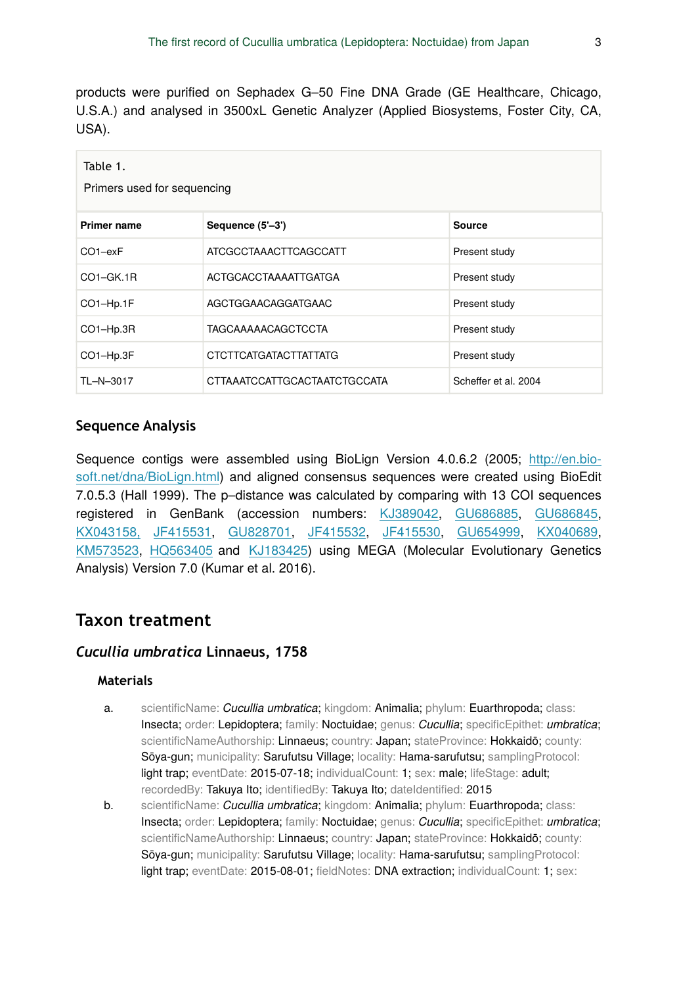products were purified on Sephadex G–50 Fine DNA Grade (GE Healthcare, Chicago, U.S.A.) and analysed in 3500xL Genetic Analyzer (Applied Biosystems, Foster City, CA, USA).

| Table 1.<br>Primers used for sequencing |                              |                      |  |  |  |  |  |  |  |
|-----------------------------------------|------------------------------|----------------------|--|--|--|--|--|--|--|
| <b>Primer name</b>                      | Sequence (5'-3')             | Source               |  |  |  |  |  |  |  |
| $CO1-exF$                               | ATCGCCTAAACTTCAGCCATT        | Present study        |  |  |  |  |  |  |  |
| $CO1-GK.1R$                             | ACTGCACCTAAAATTGATGA         | Present study        |  |  |  |  |  |  |  |
| CO1-Hp.1F                               | AGCTGGAACAGGATGAAC           | Present study        |  |  |  |  |  |  |  |
| CO1-Hp.3R                               | <b>TAGCAAAAACAGCTCCTA</b>    | Present study        |  |  |  |  |  |  |  |
| CO1-Hp.3F                               | CTCTTCATGATACTTATTATG        | Present study        |  |  |  |  |  |  |  |
| TL-N-3017                               | CTTAAATCCATTGCACTAATCTGCCATA | Scheffer et al. 2004 |  |  |  |  |  |  |  |

#### **Sequence Analysis**

Sequence contigs were assembled using BioLign Version 4.0.6.2 (2005; [http://en.bio](http://en.bio-soft.net/dna/BioLign.html)[soft.net/dna/BioLign.html\)](http://en.bio-soft.net/dna/BioLign.html) and aligned consensus sequences were created using BioEdit 7.0.5.3 (Hall 1999). The p–distance was calculated by comparing with 13 COI sequences registered in GenBank (accession numbers: [KJ389042,](http://www.ncbi.nlm.nih.gov/nuccore/KJ389042) [GU686885,](http://www.ncbi.nlm.nih.gov/nuccore/GU686885) [GU686845,](http://www.ncbi.nlm.nih.gov/nuccore/GU686845) [KX043158,](http://www.ncbi.nlm.nih.gov/nuccore/KX043158) [JF415531](http://www.ncbi.nlm.nih.gov/nuccore/JF415531), [GU828701](http://www.ncbi.nlm.nih.gov/nuccore/GU828701), [JF415532,](http://www.ncbi.nlm.nih.gov/nuccore/JF415532) [JF415530](http://www.ncbi.nlm.nih.gov/nuccore/JF415530), [GU654999](http://www.ncbi.nlm.nih.gov/nuccore/GU654999), [KX040689,](http://www.ncbi.nlm.nih.gov/nuccore/KX040689) [KM573523,](http://www.ncbi.nlm.nih.gov/nuccore/KM573523) [HQ563405](http://www.ncbi.nlm.nih.gov/nuccore/HQ563405) and [KJ183425](http://www.ncbi.nlm.nih.gov/nuccore/KJ183425)) using MEGA (Molecular Evolutionary Genetics Analysis) Version 7.0 (Kumar et al. 2016).

## **Taxon treatment**

#### *Cucullia umbratica* **Linnaeus, 1758**

#### **Materials**

- a. scientificName: *Cucullia umbratica*; kingdom: Animalia; phylum: Euarthropoda; class: Insecta; order: Lepidoptera; family: Noctuidae; genus: *Cucullia*; specificEpithet: *umbratica*; scientificNameAuthorship: Linnaeus; country: Japan; stateProvince: Hokkaidō; county: Sōya-gun; municipality: Sarufutsu Village; locality: Hama-sarufutsu; samplingProtocol: light trap; eventDate: 2015-07-18; individualCount: 1; sex: male; lifeStage: adult; recordedBy: Takuya Ito; identifiedBy: Takuya Ito; dateIdentified: 2015
- b. scientificName: *Cucullia umbratica*; kingdom: Animalia; phylum: Euarthropoda; class: Insecta; order: Lepidoptera; family: Noctuidae; genus: *Cucullia*; specificEpithet: *umbratica*; scientificNameAuthorship: Linnaeus; country: Japan; stateProvince: Hokkaidō; county: Sōya-gun; municipality: Sarufutsu Village; locality: Hama-sarufutsu; samplingProtocol: light trap; eventDate: 2015-08-01; fieldNotes: DNA extraction; individualCount: 1; sex: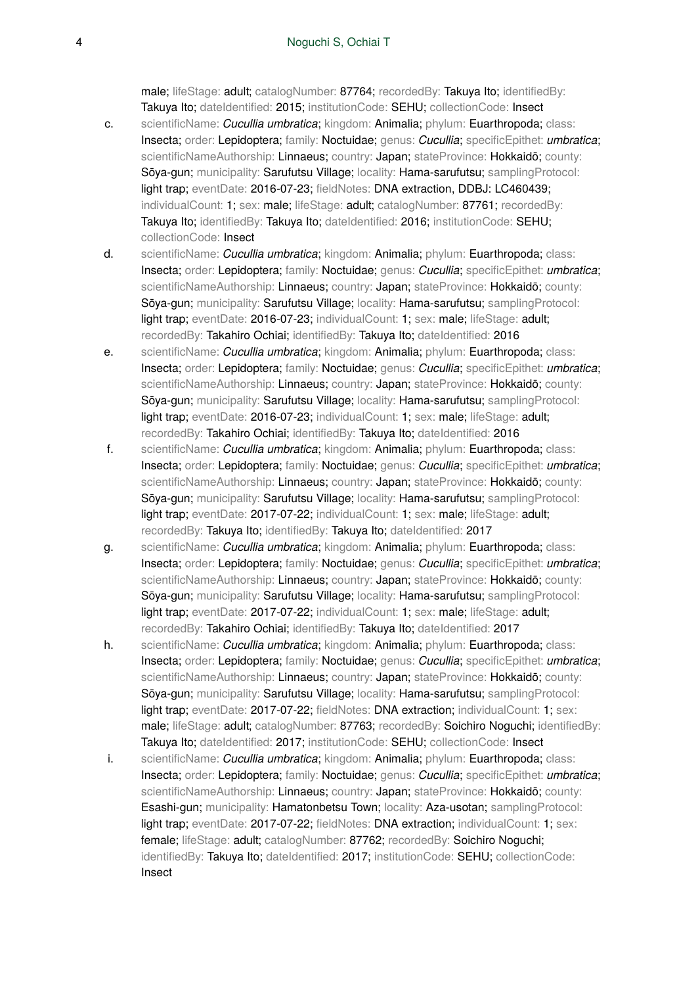male; lifeStage: adult; catalogNumber: 87764; recordedBy: Takuya Ito; identifiedBy: Takuya Ito; dateIdentified: 2015; institutionCode: SEHU; collectionCode: Insect

- c. scientificName: *Cucullia umbratica*; kingdom: Animalia; phylum: Euarthropoda; class: Insecta; order: Lepidoptera; family: Noctuidae; genus: *Cucullia*; specificEpithet: *umbratica*; scientificNameAuthorship: Linnaeus; country: Japan; stateProvince: Hokkaidō; county: Sōya-gun; municipality: Sarufutsu Village; locality: Hama-sarufutsu; samplingProtocol: light trap; eventDate: 2016-07-23; fieldNotes: DNA extraction, DDBJ: LC460439; individualCount: 1; sex: male; lifeStage: adult; catalogNumber: 87761; recordedBy: Takuya Ito; identifiedBy: Takuya Ito; dateIdentified: 2016; institutionCode: SEHU; collectionCode: Insect
- d. scientificName: *Cucullia umbratica*; kingdom: Animalia; phylum: Euarthropoda; class: Insecta; order: Lepidoptera; family: Noctuidae; genus: *Cucullia*; specificEpithet: *umbratica*; scientificNameAuthorship: Linnaeus; country: Japan; stateProvince: Hokkaidō; county: Sōya-gun; municipality: Sarufutsu Village; locality: Hama-sarufutsu; samplingProtocol: light trap; eventDate: 2016-07-23; individualCount: 1; sex: male; lifeStage: adult; recordedBy: Takahiro Ochiai; identifiedBy: Takuya Ito; dateIdentified: 2016
- e. scientificName: *Cucullia umbratica*; kingdom: Animalia; phylum: Euarthropoda; class: Insecta; order: Lepidoptera; family: Noctuidae; genus: *Cucullia*; specificEpithet: *umbratica*; scientificNameAuthorship: Linnaeus; country: Japan; stateProvince: Hokkaidō; county: Sōya-gun; municipality: Sarufutsu Village; locality: Hama-sarufutsu; samplingProtocol: light trap; eventDate: 2016-07-23; individualCount: 1; sex: male; lifeStage: adult; recordedBy: Takahiro Ochiai; identifiedBy: Takuya Ito; dateIdentified: 2016
- f. scientificName: *Cucullia umbratica*; kingdom: Animalia; phylum: Euarthropoda; class: Insecta; order: Lepidoptera; family: Noctuidae; genus: *Cucullia*; specificEpithet: *umbratica*; scientificNameAuthorship: Linnaeus; country: Japan; stateProvince: Hokkaidō; county: Sōya-gun; municipality: Sarufutsu Village; locality: Hama-sarufutsu; samplingProtocol: light trap; eventDate: 2017-07-22; individualCount: 1; sex: male; lifeStage: adult; recordedBy: Takuya Ito; identifiedBy: Takuya Ito; dateIdentified: 2017
- g. scientificName: *Cucullia umbratica*; kingdom: Animalia; phylum: Euarthropoda; class: Insecta; order: Lepidoptera; family: Noctuidae; genus: *Cucullia*; specificEpithet: *umbratica*; scientificNameAuthorship: Linnaeus; country: Japan; stateProvince: Hokkaidō; county: Sōya-gun; municipality: Sarufutsu Village; locality: Hama-sarufutsu; samplingProtocol: light trap; eventDate: 2017-07-22; individualCount: 1; sex: male; lifeStage: adult; recordedBy: Takahiro Ochiai; identifiedBy: Takuya Ito; dateIdentified: 2017
- h. scientificName: *Cucullia umbratica*; kingdom: Animalia; phylum: Euarthropoda; class: Insecta; order: Lepidoptera; family: Noctuidae; genus: *Cucullia*; specificEpithet: *umbratica*; scientificNameAuthorship: Linnaeus; country: Japan; stateProvince: Hokkaidō; county: Sōya-gun; municipality: Sarufutsu Village; locality: Hama-sarufutsu; samplingProtocol: light trap; eventDate: 2017-07-22; fieldNotes: DNA extraction; individualCount: 1; sex: male; lifeStage: adult; catalogNumber: 87763; recordedBy: Soichiro Noguchi; identifiedBy: Takuya Ito; dateIdentified: 2017; institutionCode: SEHU; collectionCode: Insect
- i. scientificName: *Cucullia umbratica*; kingdom: Animalia; phylum: Euarthropoda; class: Insecta; order: Lepidoptera; family: Noctuidae; genus: *Cucullia*; specificEpithet: *umbratica*; scientificNameAuthorship: Linnaeus; country: Japan; stateProvince: Hokkaidō; county: Esashi-gun; municipality: Hamatonbetsu Town; locality: Aza-usotan; samplingProtocol: light trap; eventDate: 2017-07-22; fieldNotes: DNA extraction; individualCount: 1; sex: female; lifeStage: adult; catalogNumber: 87762; recordedBy: Soichiro Noguchi; identifiedBy: Takuya Ito; dateIdentified: 2017; institutionCode: SEHU; collectionCode: Insect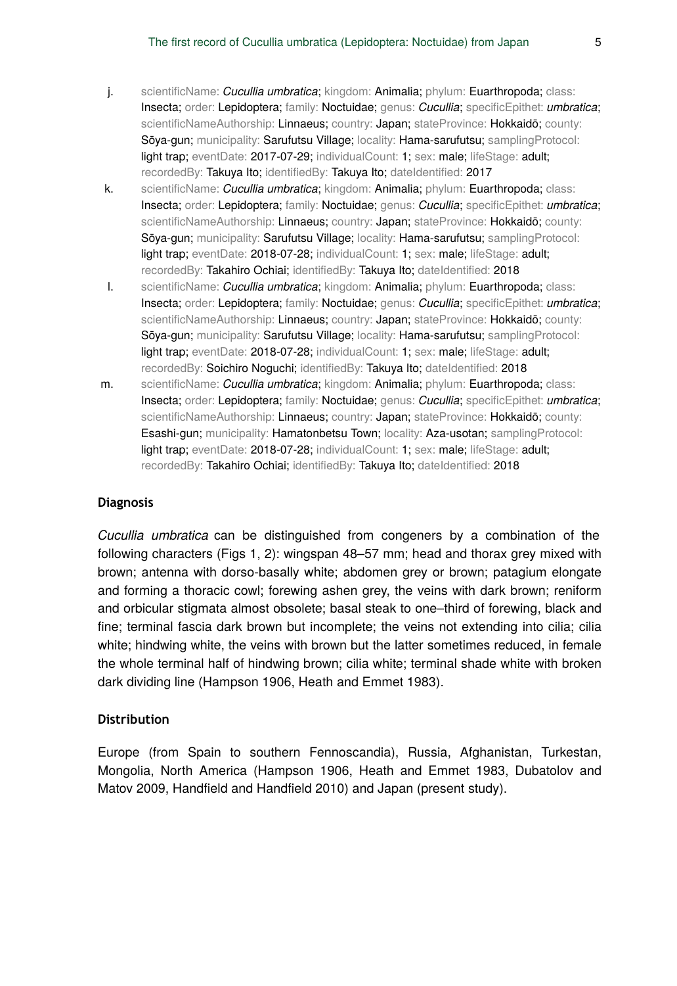- j. scientificName: *Cucullia umbratica*; kingdom: Animalia; phylum: Euarthropoda; class: Insecta; order: Lepidoptera; family: Noctuidae; genus: *Cucullia*; specificEpithet: *umbratica*; scientificNameAuthorship: Linnaeus; country: Japan; stateProvince: Hokkaidō; county: Sōya-gun; municipality: Sarufutsu Village; locality: Hama-sarufutsu; samplingProtocol: light trap; eventDate: 2017-07-29; individualCount: 1; sex: male; lifeStage: adult; recordedBy: Takuya Ito; identifiedBy: Takuya Ito; dateIdentified: 2017
- k. scientificName: *Cucullia umbratica*; kingdom: Animalia; phylum: Euarthropoda; class: Insecta; order: Lepidoptera; family: Noctuidae; genus: *Cucullia*; specificEpithet: *umbratica*; scientificNameAuthorship: Linnaeus; country: Japan; stateProvince: Hokkaidō; county: Sōya-gun; municipality: Sarufutsu Village; locality: Hama-sarufutsu; samplingProtocol: light trap; eventDate: 2018-07-28; individualCount: 1; sex: male; lifeStage: adult; recordedBy: Takahiro Ochiai; identifiedBy: Takuya Ito; dateIdentified: 2018
- l. scientificName: *Cucullia umbratica*; kingdom: Animalia; phylum: Euarthropoda; class: Insecta; order: Lepidoptera; family: Noctuidae; genus: *Cucullia*; specificEpithet: *umbratica*; scientificNameAuthorship: Linnaeus; country: Japan; stateProvince: Hokkaidō; county: Sōya-gun; municipality: Sarufutsu Village; locality: Hama-sarufutsu; samplingProtocol: light trap; eventDate: 2018-07-28; individualCount: 1; sex: male; lifeStage: adult; recordedBy: Soichiro Noguchi; identifiedBy: Takuya Ito; dateIdentified: 2018
- m. scientificName: *Cucullia umbratica*; kingdom: Animalia; phylum: Euarthropoda; class: Insecta; order: Lepidoptera; family: Noctuidae; genus: *Cucullia*; specificEpithet: *umbratica*; scientificNameAuthorship: Linnaeus; country: Japan; stateProvince: Hokkaidō; county: Esashi-gun; municipality: Hamatonbetsu Town; locality: Aza-usotan; samplingProtocol: light trap; eventDate: 2018-07-28; individualCount: 1; sex: male; lifeStage: adult; recordedBy: Takahiro Ochiai; identifiedBy: Takuya Ito; dateIdentified: 2018

#### **Diagnosis**

*Cucullia umbratica* can be distinguished from congeners by a combination of the following characters (Figs 1, 2): wingspan 48–57 mm; head and thorax grey mixed with brown; antenna with dorso-basally white; abdomen grey or brown; patagium elongate and forming a thoracic cowl; forewing ashen grey, the veins with dark brown; reniform and orbicular stigmata almost obsolete; basal steak to one–third of forewing, black and fine; terminal fascia dark brown but incomplete; the veins not extending into cilia; cilia white; hindwing white, the veins with brown but the latter sometimes reduced, in female the whole terminal half of hindwing brown; cilia white; terminal shade white with broken dark dividing line (Hampson 1906, Heath and Emmet 1983).

#### **Distribution**

Europe (from Spain to southern Fennoscandia), Russia, Afghanistan, Turkestan, Mongolia, North America (Hampson 1906, Heath and Emmet 1983, Dubatolov and Matov 2009, Handfield and Handfield 2010) and Japan (present study).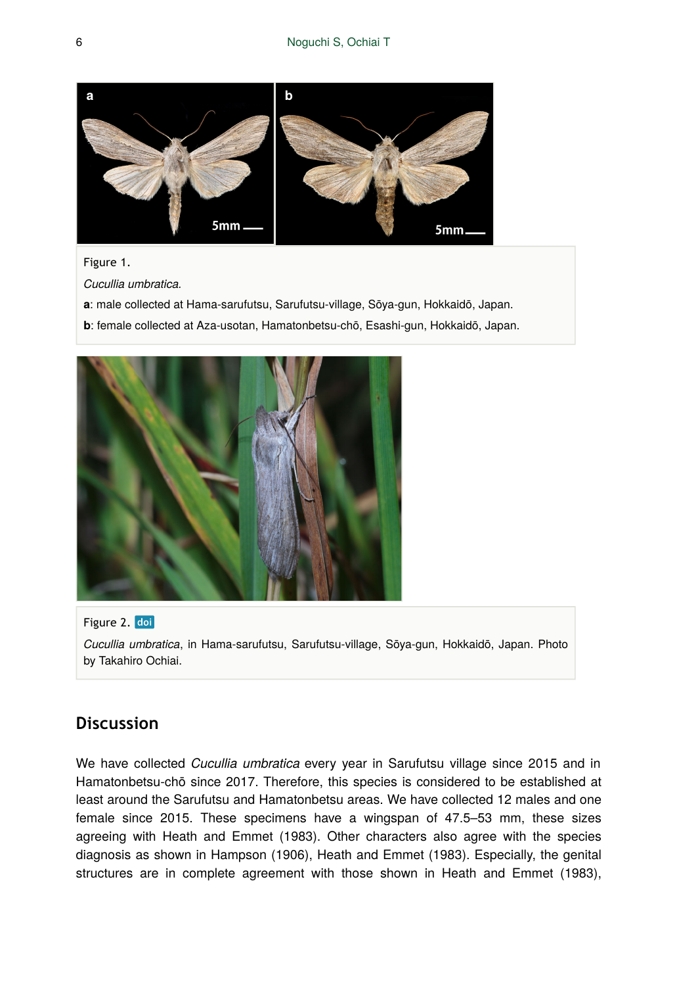

#### Figure 1.

*Cucullia umbratica.* 

- **a**: male collected at Hama-sarufutsu, Sarufutsu-village, Sōya-gun, Hokkaidō, Japan.
- **b**: female collected at Aza-usotan, Hamatonbetsu-chō, Esashi-gun, Hokkaidō, Japan.



Figure 2. doi *Cucullia umbratica*, in Hama-sarufutsu, Sarufutsu-village, Sōya-gun, Hokkaidō, Japan. Photo by Takahiro Ochiai.

### **Discussion**

We have collected *Cucullia umbratica* every year in Sarufutsu village since 2015 and in Hamatonbetsu-chō since 2017. Therefore, this species is considered to be established at least around the Sarufutsu and Hamatonbetsu areas. We have collected 12 males and one female since 2015. These specimens have a wingspan of 47.5–53 mm, these sizes agreeing with Heath and Emmet (1983). Other characters also agree with the species diagnosis as shown in Hampson (1906), Heath and Emmet (1983). Especially, the genital structures are in complete agreement with those shown in Heath and Emmet (1983),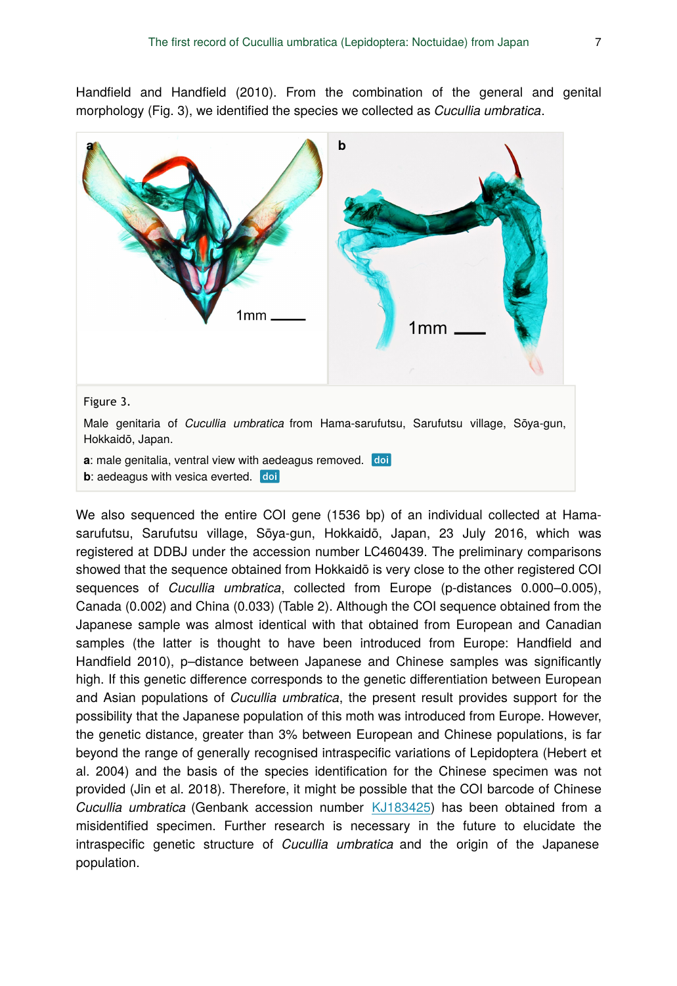Handfield and Handfield (2010). From the combination of the general and genital morphology (Fig. 3), we identified the species we collected as *Cucullia umbratica*.



We also sequenced the entire COI gene (1536 bp) of an individual collected at Hamasarufutsu, Sarufutsu village, Sōya-gun, Hokkaidō, Japan, 23 July 2016, which was registered at DDBJ under the accession number LC460439. The preliminary comparisons showed that the sequence obtained from Hokkaidō is very close to the other registered COI sequences of *Cucullia umbratica*, collected from Europe (p-distances 0.000–0.005), Canada (0.002) and China (0.033) (Table 2). Although the COI sequence obtained from the Japanese sample was almost identical with that obtained from European and Canadian samples (the latter is thought to have been introduced from Europe: Handfield and Handfield 2010), p–distance between Japanese and Chinese samples was significantly high. If this genetic difference corresponds to the genetic differentiation between European and Asian populations of *Cucullia umbratica*, the present result provides support for the possibility that the Japanese population of this moth was introduced from Europe. However, the genetic distance, greater than 3% between European and Chinese populations, is far beyond the range of generally recognised intraspecific variations of Lepidoptera (Hebert et al. 2004) and the basis of the species identification for the Chinese specimen was not provided (Jin et al. 2018). Therefore, it might be possible that the COI barcode of Chinese *Cucullia umbratica* (Genbank accession number [KJ183425](http://www.ncbi.nlm.nih.gov/nuccore/KJ183425)) has been obtained from a misidentified specimen. Further research is necessary in the future to elucidate the intraspecific genetic structure of *Cucullia umbratica* and the origin of the Japanese population.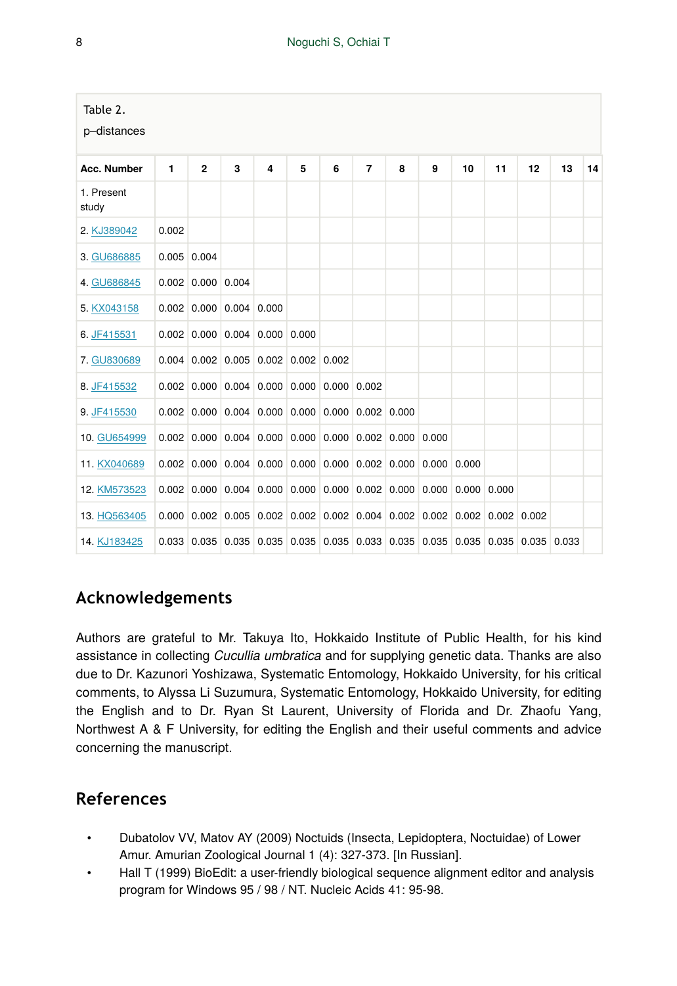| Table 2.<br>p-distances |              |                     |                                             |   |   |   |                                                                                         |   |   |    |    |    |    |    |
|-------------------------|--------------|---------------------|---------------------------------------------|---|---|---|-----------------------------------------------------------------------------------------|---|---|----|----|----|----|----|
| Acc. Number             | $\mathbf{1}$ | $\overline{2}$      | 3                                           | 4 | 5 | 6 | $\overline{7}$                                                                          | 8 | 9 | 10 | 11 | 12 | 13 | 14 |
| 1. Present<br>study     |              |                     |                                             |   |   |   |                                                                                         |   |   |    |    |    |    |    |
| 2. KJ389042             | 0.002        |                     |                                             |   |   |   |                                                                                         |   |   |    |    |    |    |    |
| 3. GU686885             |              | $0.005$ 0.004       |                                             |   |   |   |                                                                                         |   |   |    |    |    |    |    |
| 4. GU686845             |              | $0.002$ 0.000 0.004 |                                             |   |   |   |                                                                                         |   |   |    |    |    |    |    |
| 5. KX043158             |              |                     | $0.002$ 0.000 0.004 0.000                   |   |   |   |                                                                                         |   |   |    |    |    |    |    |
| 6. JF415531             |              |                     | $0.002$ 0.000 0.004 0.000 0.000             |   |   |   |                                                                                         |   |   |    |    |    |    |    |
| 7. GU830689             |              |                     | $0.004$ 0.002 0.005 0.002 0.002 0.002       |   |   |   |                                                                                         |   |   |    |    |    |    |    |
| 8. JF415532             |              |                     | $0.002$ 0.000 0.004 0.000 0.000 0.000 0.002 |   |   |   |                                                                                         |   |   |    |    |    |    |    |
| 9. JF415530             |              |                     |                                             |   |   |   | $0.002$ 0.000 0.004 0.000 0.000 0.000 0.002 0.000                                       |   |   |    |    |    |    |    |
| 10. GU654999            |              |                     |                                             |   |   |   | $0.002$ 0.000 0.004 0.000 0.000 0.000 0.002 0.000 0.000                                 |   |   |    |    |    |    |    |
| 11. KX040689            |              |                     |                                             |   |   |   | $0.002$ 0.000 0.004 0.000 0.000 0.000 0.002 0.000 0.000 0.000                           |   |   |    |    |    |    |    |
| 12. KM573523            |              |                     |                                             |   |   |   | $0.002$ $0.000$ $0.004$ $0.000$ $0.000$ $0.000$ $0.002$ $0.000$ $0.000$ $0.000$ $0.000$ |   |   |    |    |    |    |    |
| 13. HQ563405            |              |                     |                                             |   |   |   | 0.000 0.002 0.005 0.002 0.002 0.002 0.004 0.002 0.002 0.002 0.002 0.002                 |   |   |    |    |    |    |    |
| 14. KJ183425            |              |                     |                                             |   |   |   | 0.033 0.035 0.035 0.035 0.035 0.035 0.033 0.035 0.035 0.035 0.035 0.035 0.033           |   |   |    |    |    |    |    |

# **Acknowledgements**

Authors are grateful to Mr. Takuya Ito, Hokkaido Institute of Public Health, for his kind assistance in collecting *Cucullia umbratica* and for supplying genetic data. Thanks are also due to Dr. Kazunori Yoshizawa, Systematic Entomology, Hokkaido University, for his critical comments, to Alyssa Li Suzumura, Systematic Entomology, Hokkaido University, for editing the English and to Dr. Ryan St Laurent, University of Florida and Dr. Zhaofu Yang, Northwest A & F University, for editing the English and their useful comments and advice concerning the manuscript.

# **References**

- Dubatolov VV, Matov AY (2009) Noctuids (Insecta, Lepidoptera, Noctuidae) of Lower Amur. Amurian Zoological Journal 1 (4): 327‑373. [In Russian].
- Hall T (1999) BioEdit: a user-friendly biological sequence alignment editor and analysis program for Windows 95 / 98 / NT. Nucleic Acids 41: 95‑98.